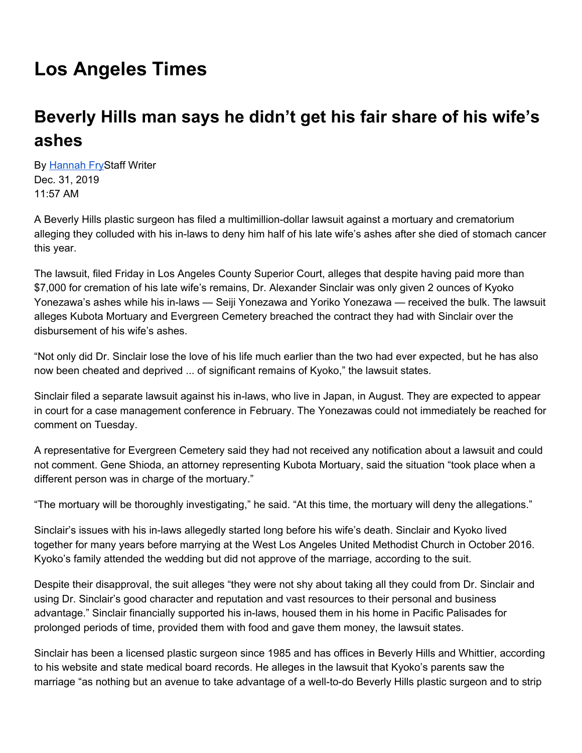## **Los Angeles Times**

## **Beverly Hills man says he didn't get his fair share of his wife's ashes**

By [Hannah](https://www.latimes.com/people/hannah-fry) FryStaff Writer Dec. 31, 2019 11:57 AM

A Beverly Hills plastic surgeon has filed a multimillion-dollar lawsuit against a mortuary and crematorium alleging they colluded with his in-laws to deny him half of his late wife's ashes after she died of stomach cancer this year.

The lawsuit, filed Friday in Los Angeles County Superior Court, alleges that despite having paid more than \$7,000 for cremation of his late wife's remains, Dr. Alexander Sinclair was only given 2 ounces of Kyoko Yonezawa's ashes while his in-laws — Seiji Yonezawa and Yoriko Yonezawa — received the bulk. The lawsuit alleges Kubota Mortuary and Evergreen Cemetery breached the contract they had with Sinclair over the disbursement of his wife's ashes.

"Not only did Dr. Sinclair lose the love of his life much earlier than the two had ever expected, but he has also now been cheated and deprived ... of significant remains of Kyoko," the lawsuit states.

Sinclair filed a separate lawsuit against his in-laws, who live in Japan, in August. They are expected to appear in court for a case management conference in February. The Yonezawas could not immediately be reached for comment on Tuesday.

A representative for Evergreen Cemetery said they had not received any notification about a lawsuit and could not comment. Gene Shioda, an attorney representing Kubota Mortuary, said the situation "took place when a different person was in charge of the mortuary."

"The mortuary will be thoroughly investigating," he said. "At this time, the mortuary will deny the allegations."

Sinclair's issues with his in-laws allegedly started long before his wife's death. Sinclair and Kyoko lived together for many years before marrying at the West Los Angeles United Methodist Church in October 2016. Kyoko's family attended the wedding but did not approve of the marriage, according to the suit.

Despite their disapproval, the suit alleges "they were not shy about taking all they could from Dr. Sinclair and using Dr. Sinclair's good character and reputation and vast resources to their personal and business advantage." Sinclair financially supported his in-laws, housed them in his home in Pacific Palisades for prolonged periods of time, provided them with food and gave them money, the lawsuit states.

Sinclair has been a licensed plastic surgeon since 1985 and has offices in Beverly Hills and Whittier, according to his website and state medical board records. He alleges in the lawsuit that Kyoko's parents saw the marriage "as nothing but an avenue to take advantage of a well-to-do Beverly Hills plastic surgeon and to strip